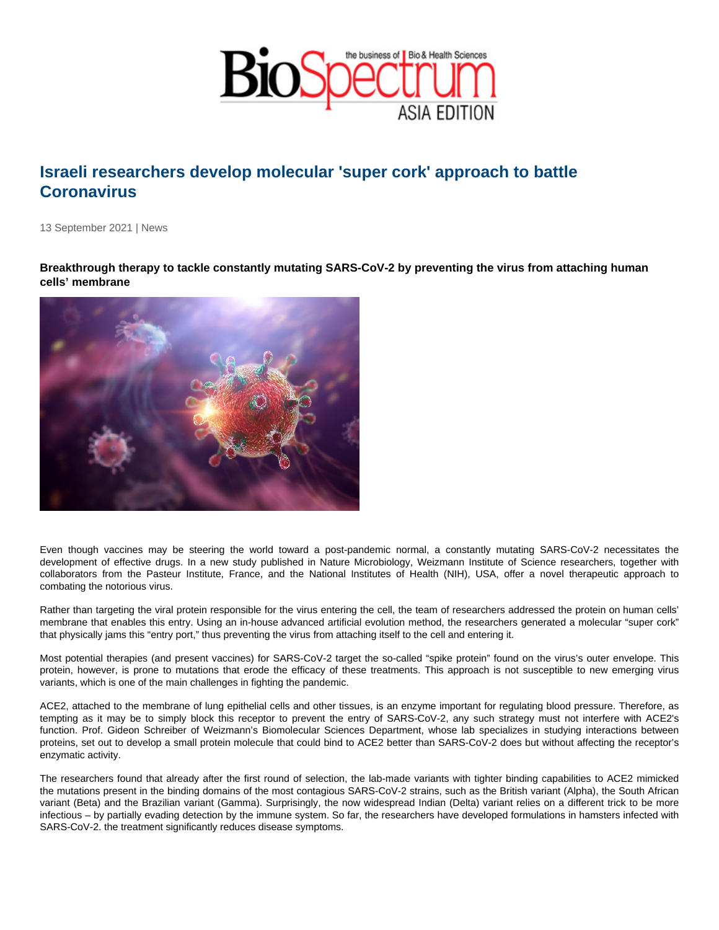## Israeli researchers develop molecular 'super cork' approach to battle **Coronavirus**

13 September 2021 | News

Breakthrough therapy to tackle constantly mutating SARS-CoV-2 by preventing the virus from attaching human cells' membrane

Even though vaccines may be steering the world toward a post-pandemic normal, a constantly mutating SARS-CoV-2 necessitates the development of effective drugs. In a new study published in Nature Microbiology, Weizmann Institute of Science researchers, together with collaborators from the Pasteur Institute, France, and the National Institutes of Health (NIH), USA, offer a novel therapeutic approach to combating the notorious virus.

Rather than targeting the viral protein responsible for the virus entering the cell, the team of researchers addressed the protein on human cells' membrane that enables this entry. Using an in-house advanced artificial evolution method, the researchers generated a molecular "super cork" that physically jams this "entry port," thus preventing the virus from attaching itself to the cell and entering it.

Most potential therapies (and present vaccines) for SARS-CoV-2 target the so-called "spike protein" found on the virus's outer envelope. This protein, however, is prone to mutations that erode the efficacy of these treatments. This approach is not susceptible to new emerging virus variants, which is one of the main challenges in fighting the pandemic.

ACE2, attached to the membrane of lung epithelial cells and other tissues, is an enzyme important for regulating blood pressure. Therefore, as tempting as it may be to simply block this receptor to prevent the entry of SARS-CoV-2, any such strategy must not interfere with ACE2's function. Prof. Gideon Schreiber of Weizmann's Biomolecular Sciences Department, whose lab specializes in studying interactions between proteins, set out to develop a small protein molecule that could bind to ACE2 better than SARS-CoV-2 does but without affecting the receptor's enzymatic activity.

The researchers found that already after the first round of selection, the lab-made variants with tighter binding capabilities to ACE2 mimicked the mutations present in the binding domains of the most contagious SARS-CoV-2 strains, such as the British variant (Alpha), the South African variant (Beta) and the Brazilian variant (Gamma). Surprisingly, the now widespread Indian (Delta) variant relies on a different trick to be more infectious – by partially evading detection by the immune system. So far, the researchers have developed formulations in hamsters infected with SARS-CoV-2. the treatment significantly reduces disease symptoms.